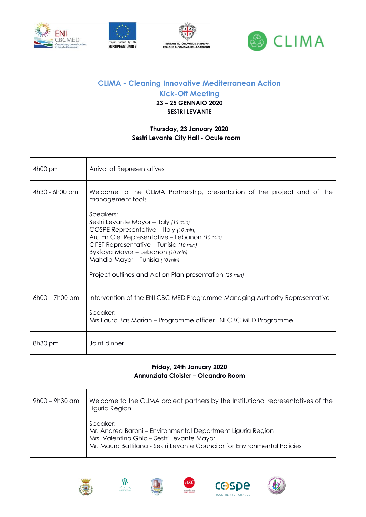







# **CLIMA - Cleaning Innovative Mediterranean Action**

**Kick-Off Meeting**

### **23 – 25 GENNAIO 2020 SESTRI LEVANTE**

#### **Thursday, 23 January 2020 Sestri Levante City Hall - Ocule room**

| 4h00 pm          | Arrival of Representatives                                                                                                                                                                                                                                                                                               |
|------------------|--------------------------------------------------------------------------------------------------------------------------------------------------------------------------------------------------------------------------------------------------------------------------------------------------------------------------|
| 4h30 - 6h00 pm   | Welcome to the CLIMA Partnership, presentation of the project and of the<br>management tools                                                                                                                                                                                                                             |
|                  | Speakers:<br>Sestri Levante Mayor - Italy (15 min)<br>COSPE Representative - Italy (10 min)<br>Arc En Ciel Representative - Lebanon (10 min)<br>CITET Representative – Tunisia (10 min)<br>Bykfaya Mayor - Lebanon (10 min)<br>Mahdia Mayor - Tunisia (10 min)<br>Project outlines and Action Plan presentation (25 min) |
| $6h00 - 7h00$ pm | Intervention of the ENI CBC MED Programme Managing Authority Representative<br>Speaker:<br>Mrs Laura Bas Marian – Programme officer ENI CBC MED Programme                                                                                                                                                                |
| 8h30 pm          | Joint dinner                                                                                                                                                                                                                                                                                                             |

#### **Friday, 24th January 2020 Annunziata Cloister – Oleandro Room**

| 9h00 - 9h30 am | Welcome to the CLIMA project partners by the Institutional representatives of the<br>Liguria Region                                                                                                |
|----------------|----------------------------------------------------------------------------------------------------------------------------------------------------------------------------------------------------|
|                | Speaker:<br>Mr. Andrea Baroni - Environmental Department Liguria Region<br>Mrs. Valentina Ghio - Sestri Levante Mayor<br>Mr. Mauro Battilana - Sestri Levante Councilor for Environmental Policies |











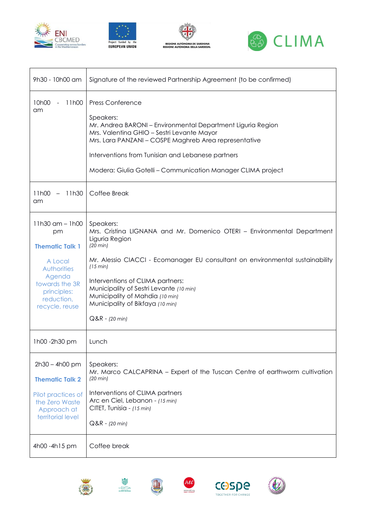







| 9h30 - 10h00 am                                                                                                                                          | Signature of the reviewed Partnership Agreement (to be confirmed)                                                                                                                                                                                                                                                                                                                                   |
|----------------------------------------------------------------------------------------------------------------------------------------------------------|-----------------------------------------------------------------------------------------------------------------------------------------------------------------------------------------------------------------------------------------------------------------------------------------------------------------------------------------------------------------------------------------------------|
| 10h00<br>11h00<br>$\blacksquare$<br>am                                                                                                                   | <b>Press Conference</b><br>Speakers:<br>Mr. Andrea BARONI - Environmental Department Liguria Region<br>Mrs. Valentina GHIO - Sestri Levante Mayor<br>Mrs. Lara PANZANI - COSPE Maghreb Area representative<br>Interventions from Tunisian and Lebanese partners<br>Modera: Giulia Gotelli - Communication Manager CLIMA project                                                                     |
| 11h30<br>11h00<br>$-$<br>am                                                                                                                              | Coffee Break                                                                                                                                                                                                                                                                                                                                                                                        |
| $11h30$ am $- 1h00$<br>pm<br><b>Thematic Talk 1</b><br>A Local<br>Authorities<br>Agenda<br>towards the 3R<br>principles:<br>reduction,<br>recycle, reuse | Speakers:<br>Mrs. Cristina LIGNANA and Mr. Domenico OTERI - Environmental Department<br>Liguria Region<br>$(20 \text{ min})$<br>Mr. Alessio CIACCI - Ecomanager EU consultant on environmental sustainability<br>(15 min)<br>Interventions of CLIMA partners:<br>Municipality of Sestri Levante (10 min)<br>Municipality of Mahdia (10 min)<br>Municipality of Bikfaya (10 min)<br>$Q&R - (20 min)$ |
| 1h00 -2h30 pm                                                                                                                                            | Lunch                                                                                                                                                                                                                                                                                                                                                                                               |
| $2h30 - 4h00$ pm<br><b>Thematic Talk 2</b><br>Pilot practices of<br>the Zero Waste<br>Approach at<br>territorial level                                   | Speakers:<br>Mr. Marco CALCAPRINA - Expert of the Tuscan Centre of earthworm cultivation<br>$(20 \text{ min})$<br>Interventions of CLIMA partners<br>Arc en Ciel, Lebanon - (15 min)<br>CITET, Tunisia - (15 min)<br>$Q&R - (20 min)$                                                                                                                                                               |
| 4h00 - 4h15 pm                                                                                                                                           | Coffee break                                                                                                                                                                                                                                                                                                                                                                                        |